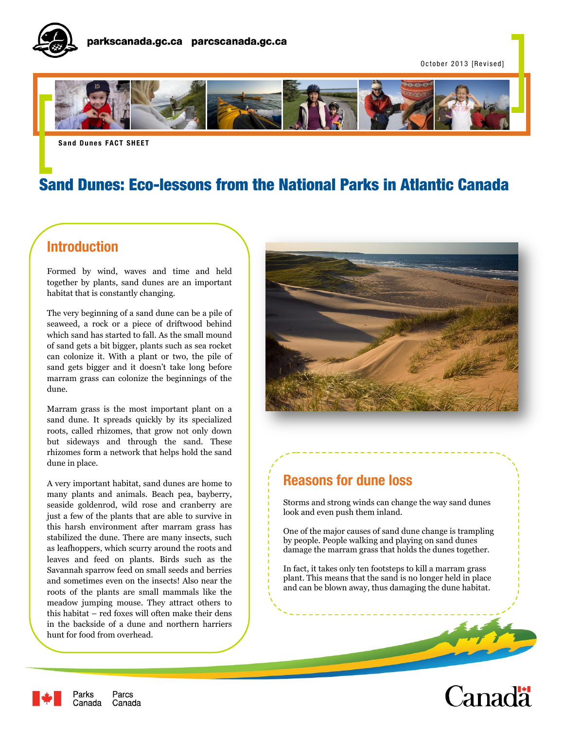

October 2013 [Revised]



**Sand Dunes FACT SHEET** 

# Sand Dunes: Eco-lessons from the National Parks in Atlantic Canada

ł.

# **Introduction**

Formed by wind, waves and time and held together by plants, sand dunes are an important habitat that is constantly changing.

The very beginning of a sand dune can be a pile of seaweed, a rock or a piece of driftwood behind which sand has started to fall. As the small mound of sand gets a bit bigger, plants such as sea rocket can colonize it. With a plant or two, the pile of sand gets bigger and it doesn't take long before marram grass can colonize the beginnings of the dune.

Marram grass is the most important plant on a sand dune. It spreads quickly by its specialized roots, called rhizomes, that grow not only down but sideways and through the sand. These rhizomes form a network that helps hold the sand dune in place.

A very important habitat, sand dunes are home to many plants and animals. Beach pea, bayberry, seaside goldenrod, wild rose and cranberry are just a few of the plants that are able to survive in this harsh environment after marram grass has stabilized the dune. There are many insects, such as leafhoppers, which scurry around the roots and leaves and feed on plants. Birds such as the Savannah sparrow feed on small seeds and berries and sometimes even on the insects! Also near the roots of the plants are small mammals like the meadow jumping mouse. They attract others to this habitat – red foxes will often make their dens in the backside of a dune and northern harriers hunt for food from overhead.



## **Reasons for dune loss**

Storms and strong winds can change the way sand dunes look and even push them inland.

One of the major causes of sand dune change is trampling by people. People walking and playing on sand dunes damage the marram grass that holds the dunes together.

In fact, it takes only ten footsteps to kill a marram grass plant. This means that the sand is no longer held in place and can be blown away, thus damaging the dune habitat.